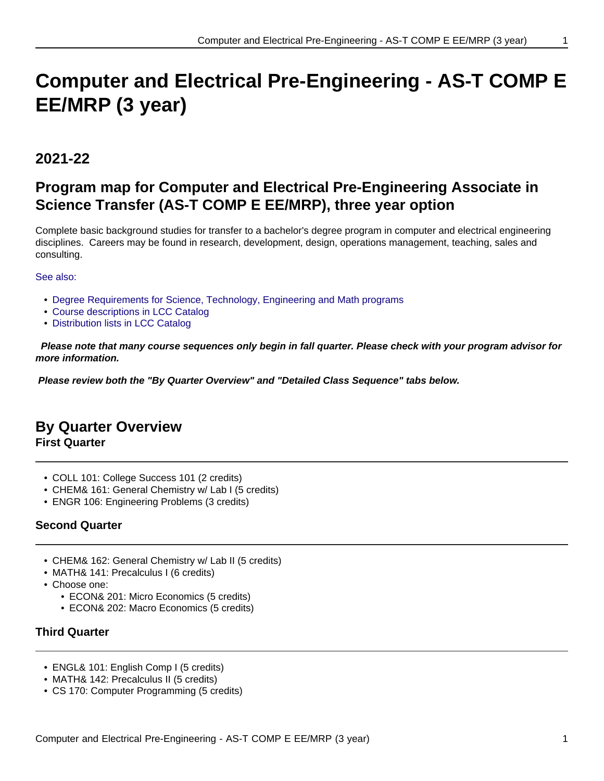# **Computer and Electrical Pre-Engineering - AS-T COMP E EE/MRP (3 year)**

# **2021-22**

# **Program map for Computer and Electrical Pre-Engineering Associate in Science Transfer (AS-T COMP E EE/MRP), three year option**

Complete basic background studies for transfer to a bachelor's degree program in computer and electrical engineering disciplines. Careers may be found in research, development, design, operations management, teaching, sales and consulting.

### See also:

- Degree Requirements for Science, Technology, Engineering and Math programs
- Course descriptions in LCC Catalog
- Distribution lists in LCC Catalog

 **Please note that many course sequences only begin in fall quarter. Please check with your program advisor for more information.**

**Please review both the "By Quarter Overview" and "Detailed Class Sequence" tabs below.**

# **By Quarter Overview**

**First Quarter**

- COLL 101: College Success 101 (2 credits)
- CHEM& 161: General Chemistry w/ Lab I (5 credits)
- ENGR 106: Engineering Problems (3 credits)

# **Second Quarter**

- CHEM& 162: General Chemistry w/ Lab II (5 credits)
- MATH& 141: Precalculus I (6 credits)
- Choose one:
	- ECON& 201: Micro Economics (5 credits)
	- ECON& 202: Macro Economics (5 credits)

# **Third Quarter**

- ENGL& 101: English Comp I (5 credits)
- MATH& 142: Precalculus II (5 credits)
- CS 170: Computer Programming (5 credits)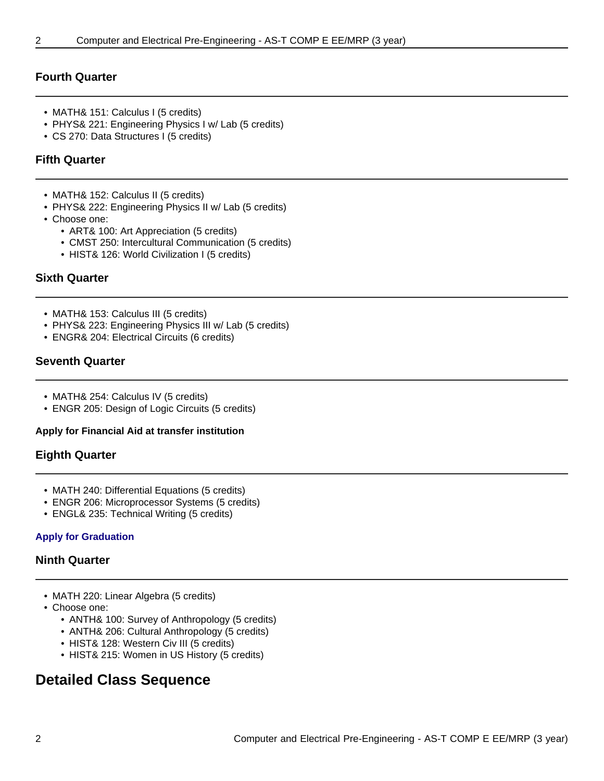# **Fourth Quarter**

- MATH& 151: Calculus I (5 credits)
- PHYS& 221: Engineering Physics I w/ Lab (5 credits)
- CS 270: Data Structures I (5 credits)

# **Fifth Quarter**

- MATH& 152: Calculus II (5 credits)
- PHYS& 222: Engineering Physics II w/ Lab (5 credits)
- Choose one:
	- ART& 100: Art Appreciation (5 credits)
	- CMST 250: Intercultural Communication (5 credits)
	- HIST& 126: World Civilization I (5 credits)

# **Sixth Quarter**

- MATH& 153: Calculus III (5 credits)
- PHYS& 223: Engineering Physics III w/ Lab (5 credits)
- ENGR& 204: Electrical Circuits (6 credits)

# **Seventh Quarter**

- MATH& 254: Calculus IV (5 credits)
- ENGR 205: Design of Logic Circuits (5 credits)

#### **Apply for Financial Aid at transfer institution**

# **Eighth Quarter**

- MATH 240: Differential Equations (5 credits)
- ENGR 206: Microprocessor Systems (5 credits)
- ENGL& 235: Technical Writing (5 credits)

#### **Apply for Graduation**

#### **Ninth Quarter**

- MATH 220: Linear Algebra (5 credits)
- Choose one:
	- ANTH& 100: Survey of Anthropology (5 credits)
	- ANTH& 206: Cultural Anthropology (5 credits)
	- HIST& 128: Western Civ III (5 credits)
	- HIST& 215: Women in US History (5 credits)

# **Detailed Class Sequence**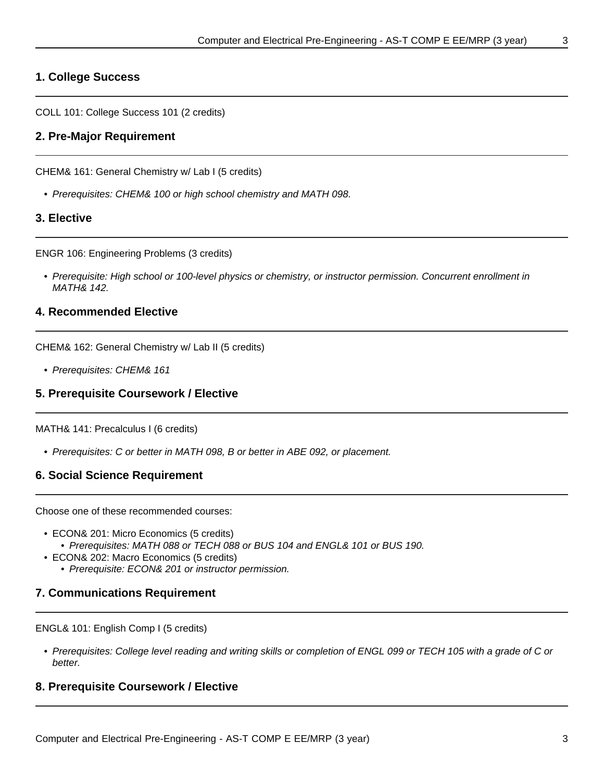# **1. College Success**

COLL 101: College Success 101 (2 credits)

#### **2. Pre-Major Requirement**

CHEM& 161: General Chemistry w/ Lab I (5 credits)

• Prerequisites: CHEM& 100 or high school chemistry and MATH 098.

### **3. Elective**

ENGR 106: Engineering Problems (3 credits)

• Prerequisite: High school or 100-level physics or chemistry, or instructor permission. Concurrent enrollment in MATH& 142.

#### **4. Recommended Elective**

CHEM& 162: General Chemistry w/ Lab II (5 credits)

• Prerequisites: CHEM& 161

#### **5. Prerequisite Coursework / Elective**

MATH& 141: Precalculus I (6 credits)

• Prerequisites: C or better in MATH 098, B or better in ABE 092, or placement.

#### **6. Social Science Requirement**

Choose one of these recommended courses:

- ECON& 201: Micro Economics (5 credits)
	- Prerequisites: MATH 088 or TECH 088 or BUS 104 and ENGL& 101 or BUS 190.
- ECON& 202: Macro Economics (5 credits)
	- Prerequisite: ECON& 201 or instructor permission.

#### **7. Communications Requirement**

ENGL& 101: English Comp I (5 credits)

• Prerequisites: College level reading and writing skills or completion of ENGL 099 or TECH 105 with a grade of C or better.

#### **8. Prerequisite Coursework / Elective**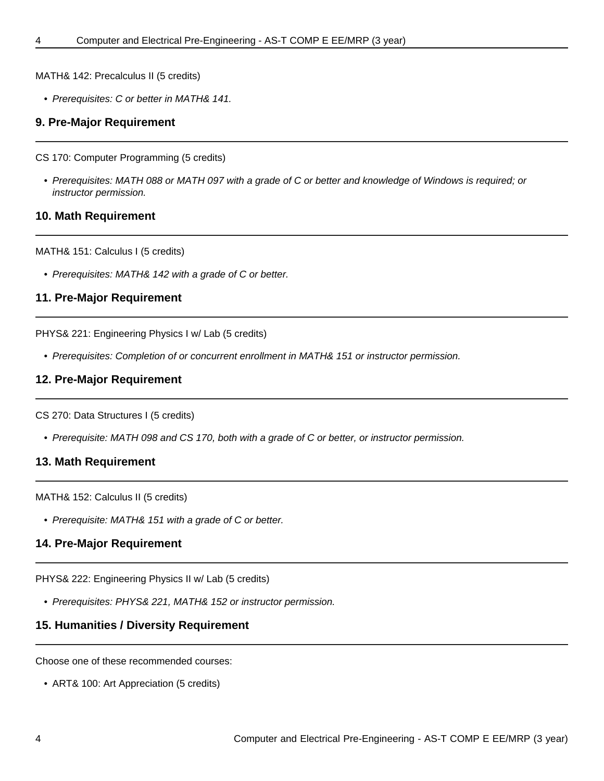MATH& 142: Precalculus II (5 credits)

• Prerequisites: C or better in MATH& 141.

#### **9. Pre-Major Requirement**

CS 170: Computer Programming (5 credits)

• Prerequisites: MATH 088 or MATH 097 with a grade of C or better and knowledge of Windows is required; or instructor permission.

#### **10. Math Requirement**

MATH& 151: Calculus I (5 credits)

• Prerequisites: MATH& 142 with a grade of C or better.

#### **11. Pre-Major Requirement**

PHYS& 221: Engineering Physics I w/ Lab (5 credits)

• Prerequisites: Completion of or concurrent enrollment in MATH& 151 or instructor permission.

#### **12. Pre-Major Requirement**

CS 270: Data Structures I (5 credits)

• Prerequisite: MATH 098 and CS 170, both with a grade of C or better, or instructor permission.

#### **13. Math Requirement**

MATH& 152: Calculus II (5 credits)

• Prerequisite: MATH& 151 with a grade of C or better.

#### **14. Pre-Major Requirement**

PHYS& 222: Engineering Physics II w/ Lab (5 credits)

• Prerequisites: PHYS& 221, MATH& 152 or instructor permission.

#### **15. Humanities / Diversity Requirement**

Choose one of these recommended courses:

• ART& 100: Art Appreciation (5 credits)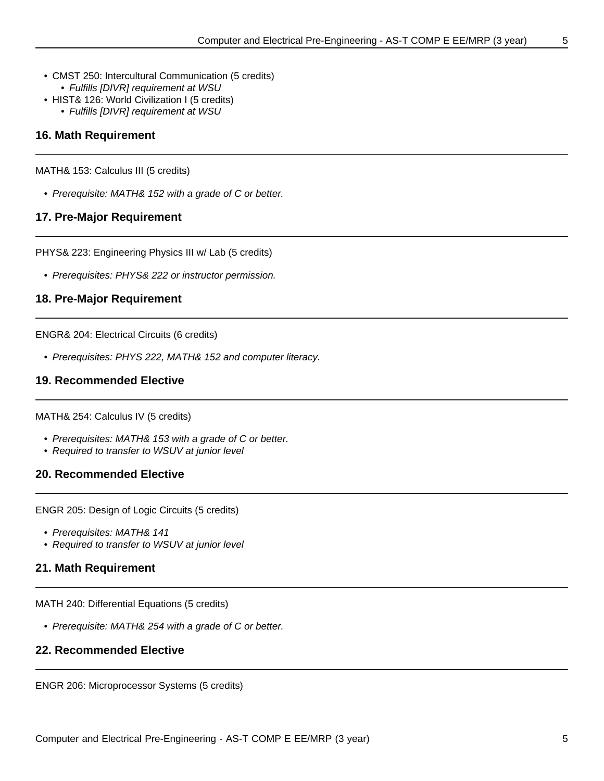- CMST 250: Intercultural Communication (5 credits) • Fulfills [DIVR] requirement at WSU
- HIST& 126: World Civilization I (5 credits)
	- Fulfills [DIVR] requirement at WSU

### **16. Math Requirement**

MATH& 153: Calculus III (5 credits)

• Prerequisite: MATH& 152 with a grade of C or better.

### **17. Pre-Major Requirement**

PHYS& 223: Engineering Physics III w/ Lab (5 credits)

• Prerequisites: PHYS& 222 or instructor permission.

#### **18. Pre-Major Requirement**

ENGR& 204: Electrical Circuits (6 credits)

• Prerequisites: PHYS 222, MATH& 152 and computer literacy.

### **19. Recommended Elective**

MATH& 254: Calculus IV (5 credits)

- Prerequisites: MATH& 153 with a grade of C or better.
- Required to transfer to WSUV at junior level

#### **20. Recommended Elective**

ENGR 205: Design of Logic Circuits (5 credits)

- Prerequisites: MATH& 141
- Required to transfer to WSUV at junior level

# **21. Math Requirement**

MATH 240: Differential Equations (5 credits)

• Prerequisite: MATH& 254 with a grade of C or better.

#### **22. Recommended Elective**

ENGR 206: Microprocessor Systems (5 credits)